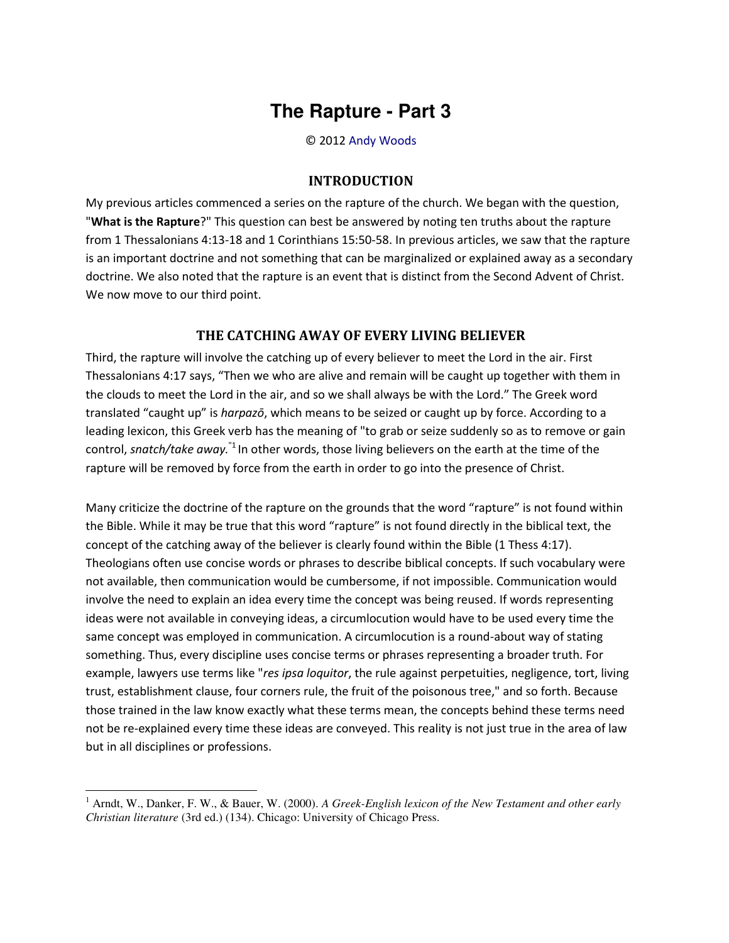## **The Rapture - Part 3**

© 2012 [Andy Woods](http://www.spiritandtruth.org/id/aw.htm)

## **INTRODUCTION**

My previous articles commenced a series on the rapture of the church. We began with the question, "**What is the Rapture**?" This question can best be answered by noting ten truths about the rapture from 1 Thessalonians 4:13-18 and 1 Corinthians 15:50-58. In previous articles, we saw that the rapture is an important doctrine and not something that can be marginalized or explained away as a secondary doctrine. We also noted that the rapture is an event that is distinct from the Second Advent of Christ. We now move to our third point.

## **THE CATCHING AWAY OF EVERY LIVING BELIEVER**

Third, the rapture will involve the catching up of every believer to meet the Lord in the air. First Thessalonians 4:17 says, "Then we who are alive and remain will be caught up together with them in the clouds to meet the Lord in the air, and so we shall always be with the Lord.<sup>™</sup> The Greek word translated "caught up" is *harpazō*, which means to be seized or caught up by force. According to a leading lexicon, this Greek verb has the meaning of "to grab or seize suddenly so as to remove or gain control, *snatch/take away.*"1 In other words, those living believers on the earth at the time of the rapture will be removed by force from the earth in order to go into the presence of Christ.

Many criticize the doctrine of the rapture on the grounds that the word "rapture" is not found within the Bible. While it may be true that this word "rapture" is not found directly in the biblical text, the concept of the catching away of the believer is clearly found within the Bible (1 Thess 4:17). Theologians often use concise words or phrases to describe biblical concepts. If such vocabulary were not available, then communication would be cumbersome, if not impossible. Communication would involve the need to explain an idea every time the concept was being reused. If words representing ideas were not available in conveying ideas, a circumlocution would have to be used every time the same concept was employed in communication. A circumlocution is a round-about way of stating something. Thus, every discipline uses concise terms or phrases representing a broader truth. For example, lawyers use terms like "*res ipsa loquitor*, the rule against perpetuities, negligence, tort, living trust, establishment clause, four corners rule, the fruit of the poisonous tree," and so forth. Because those trained in the law know exactly what these terms mean, the concepts behind these terms need not be re-explained every time these ideas are conveyed. This reality is not just true in the area of law but in all disciplines or professions.

 $\overline{\phantom{0}}$ 

<sup>&</sup>lt;sup>1</sup> Arndt, W., Danker, F. W., & Bauer, W. (2000). *A Greek-English lexicon of the New Testament and other early Christian literature* (3rd ed.) (134). Chicago: University of Chicago Press.